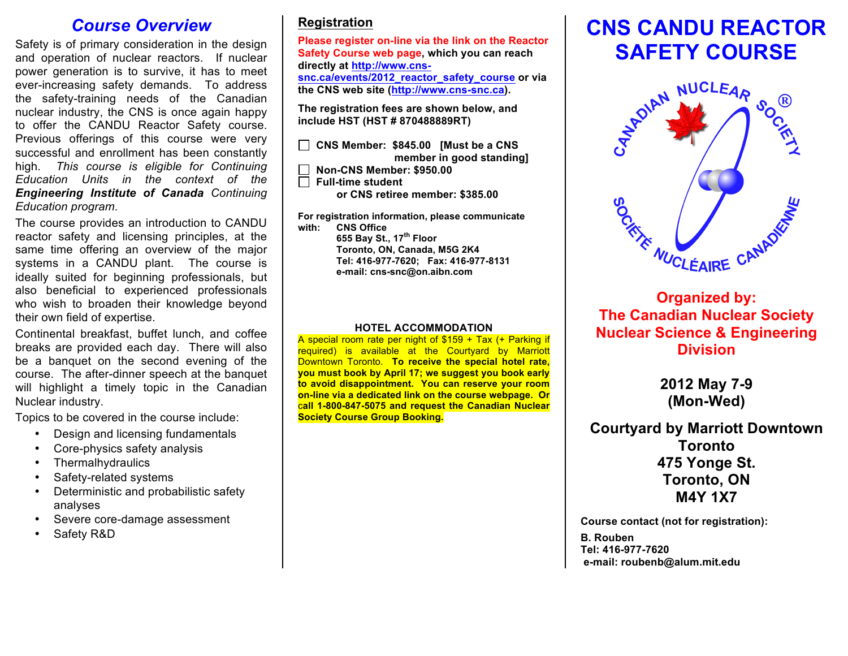## *Course Overview*

Safety is of primary consideration in the design and operation of nuclear reactors. If nuclear power generation is to survive, it has to meet ever-increasing safety demands. To address the safety-training needs of the Canadian nuclear industry, the CNS is once again happy to offer the CANDU Reactor Safety course. Previous offerings of this course were very successful and enrollment has been constantly high. *This course is eligible for Continuing Education Units in the context of the Engineering Institute of Canada Continuing Education program.*

The course provides an introduction to CANDU reactor safety and licensing principles, at the same time offering an overview of the major systems in a CANDU plant. The course is ideally suited for beginning professionals, but also beneficial to experienced professionals who wish to broaden their knowledge beyond their own field of expertise.

Continental breakfast, buffet lunch, and coffee breaks are provided each day. There will also be a banquet on the second evening of the course. The after-dinner speech at the banquet will highlight a timely topic in the Canadian Nuclear industry.

Topics to be covered in the course include:

- Design and licensing fundamentals
- Core-physics safety analysis
- Thermalhydraulics
- Safety-related systems
- Deterministic and probabilistic safety analyses
- Severe core-damage assessment
- Safety R&D

## **Registration**

**Please register on-line via the link on the Reactor Safety Course web page, which you can reach directly at http://www.cnssnc.ca/events/2012\_reactor\_safety\_course or via the CNS web site (http://www.cns-snc.ca).** 

**The registration fees are shown below, and include HST (HST # 870488889RT)** 

 **CNS Member: \$845.00 [Must be a CNS member in good standing] Non-CNS Member: \$950.00 Full-time student** 

 **or CNS retiree member: \$385.00**

**For registration information, please communicate with: CNS Office 655 Bay St., 17th Floor Toronto, ON, Canada, M5G 2K4 Tel: 416-977-7620; Fax: 416-977-8131 e-mail: cns-snc@on.aibn.com**

#### **HOTEL ACCOMMODATION**

A special room rate per night of \$159 + Tax (+ Parking if required) is available at the Courtyard by Marriott Downtown Toronto. **To receive the special hotel rate, you must book by April 17; we suggest you book early to avoid disappointment. You can reserve your room on-line via a dedicated link on the course webpage. Or** c**all 1-800-847-5075 and request the Canadian Nuclear Society Course Group Booking.**

# **CNS CANDU REACTOR**



**The Canadian Nuclear Society Nuclear Science & Engineering Division**

> **2012 May 7-9 (Mon-Wed)**

**Courtyard by Marriott Downtown Toronto 475 Yonge St. Toronto, ON M4Y 1X7**

**Course contact (not for registration): B. Rouben Tel: 416-977-7620 e-mail: roubenb@alum.mit.edu**